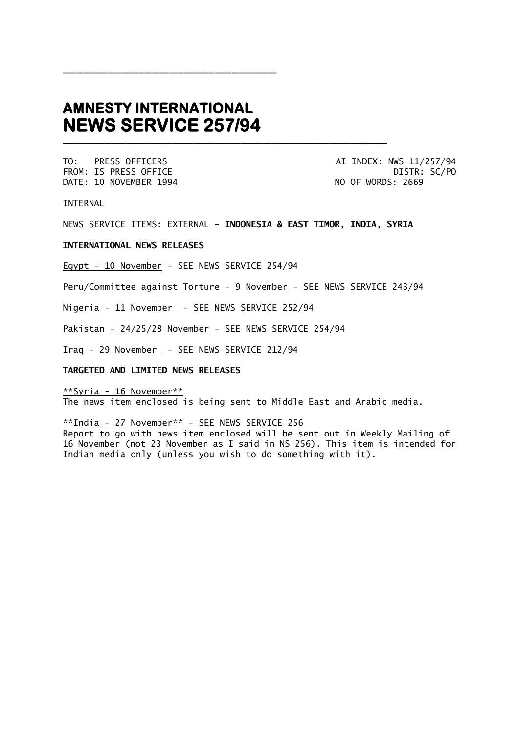# **AMNESTY INTERNATIONAL NEWS SERVICE 257/94**

\_\_\_\_\_\_\_\_\_\_\_\_\_\_\_\_\_\_\_\_\_\_\_\_\_\_\_\_\_\_\_\_\_\_\_\_\_\_\_\_\_\_\_\_\_\_\_\_\_\_\_\_\_\_\_\_\_\_\_\_\_\_

DATE: 10 NOVEMBER 1994 NO OF WORDS: 2669

TO: PRESS OFFICERS AI INDEX: NWS 11/257/94 FROM: IS PRESS OFFICE DISTR: SC/PO

INTERNAL

NEWS SERVICE ITEMS: EXTERNAL - **INDONESIA & EAST TIMOR, INDIA, SYRIA**

\_\_\_\_\_\_\_\_\_\_\_\_\_\_\_\_\_\_\_\_\_\_\_\_\_\_\_\_\_\_\_\_\_\_\_\_\_\_\_\_\_\_\_\_\_\_\_\_\_\_\_\_\_\_\_\_\_\_\_\_\_\_

## **INTERNATIONAL NEWS RELEASES**

Egypt - 10 November - SEE NEWS SERVICE 254/94

Peru/Committee against Torture - 9 November - SEE NEWS SERVICE 243/94

Nigeria - 11 November - SEE NEWS SERVICE 252/94

Pakistan - 24/25/28 November - SEE NEWS SERVICE 254/94

Iraq - 29 November - SEE NEWS SERVICE 212/94

# **TARGETED AND LIMITED NEWS RELEASES**

\*\*Syria - 16 November\*\* The news item enclosed is being sent to Middle East and Arabic media.

\*\*India - 27 November\*\* - SEE NEWS SERVICE 256

Report to go with news item enclosed will be sent out in Weekly Mailing of 16 November (not 23 November as I said in NS 256). This item is intended for Indian media only (unless you wish to do something with it).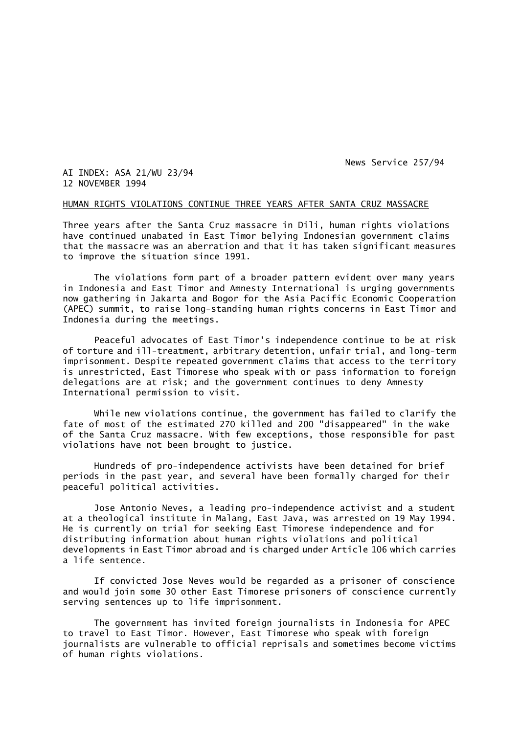News Service 257/94

AI INDEX: ASA 21/WU 23/94 12 NOVEMBER 1994

#### HUMAN RIGHTS VIOLATIONS CONTINUE THREE YEARS AFTER SANTA CRUZ MASSACRE

Three years after the Santa Cruz massacre in Dili, human rights violations have continued unabated in East Timor belying Indonesian government claims that the massacre was an aberration and that it has taken significant measures to improve the situation since 1991.

The violations form part of a broader pattern evident over many years in Indonesia and East Timor and Amnesty International is urging governments now gathering in Jakarta and Bogor for the Asia Pacific Economic Cooperation (APEC) summit, to raise long-standing human rights concerns in East Timor and Indonesia during the meetings.

Peaceful advocates of East Timor's independence continue to be at risk of torture and ill-treatment, arbitrary detention, unfair trial, and long-term imprisonment. Despite repeated government claims that access to the territory is unrestricted, East Timorese who speak with or pass information to foreign delegations are at risk; and the government continues to deny Amnesty International permission to visit.

While new violations continue, the government has failed to clarify the fate of most of the estimated 270 killed and 200 "disappeared" in the wake of the Santa Cruz massacre. With few exceptions, those responsible for past violations have not been brought to justice.

Hundreds of pro-independence activists have been detained for brief periods in the past year, and several have been formally charged for their peaceful political activities.

Jose Antonio Neves, a leading pro-independence activist and a student at a theological institute in Malang, East Java, was arrested on 19 May 1994. He is currently on trial for seeking East Timorese independence and for distributing information about human rights violations and political developments in East Timor abroad and is charged under Article 106 which carries a life sentence.

If convicted Jose Neves would be regarded as a prisoner of conscience and would join some 30 other East Timorese prisoners of conscience currently serving sentences up to life imprisonment.

The government has invited foreign journalists in Indonesia for APEC to travel to East Timor. However, East Timorese who speak with foreign journalists are vulnerable to official reprisals and sometimes become victims of human rights violations.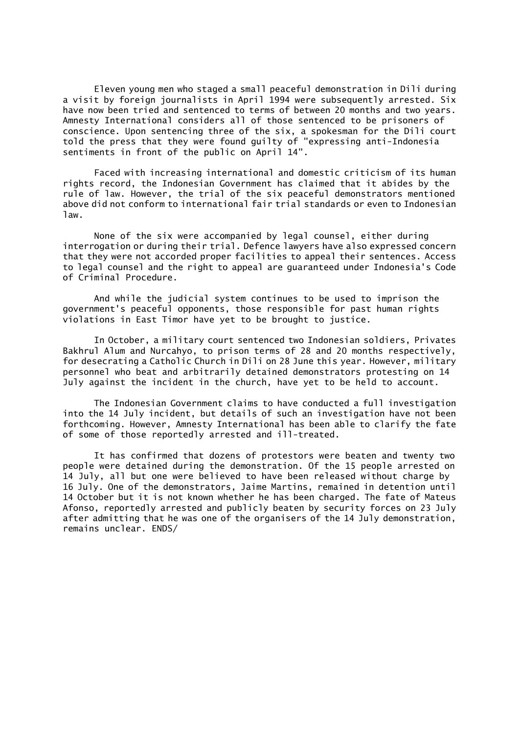Eleven young men who staged a small peaceful demonstration in Dili during a visit by foreign journalists in April 1994 were subsequently arrested. Six have now been tried and sentenced to terms of between 20 months and two years. Amnesty International considers all of those sentenced to be prisoners of conscience. Upon sentencing three of the six, a spokesman for the Dili court told the press that they were found guilty of "expressing anti-Indonesia sentiments in front of the public on April 14".

Faced with increasing international and domestic criticism of its human rights record, the Indonesian Government has claimed that it abides by the rule of law. However, the trial of the six peaceful demonstrators mentioned above did not conform to international fair trial standards or even to Indonesian law.

None of the six were accompanied by legal counsel, either during interrogation or during their trial. Defence lawyers have also expressed concern that they were not accorded proper facilities to appeal their sentences. Access to legal counsel and the right to appeal are guaranteed under Indonesia's Code of Criminal Procedure.

And while the judicial system continues to be used to imprison the government's peaceful opponents, those responsible for past human rights violations in East Timor have yet to be brought to justice.

In October, a military court sentenced two Indonesian soldiers, Privates Bakhrul Alum and Nurcahyo, to prison terms of 28 and 20 months respectively, for desecrating a Catholic Church in Dili on 28 June this year. However, military personnel who beat and arbitrarily detained demonstrators protesting on 14 July against the incident in the church, have yet to be held to account.

The Indonesian Government claims to have conducted a full investigation into the 14 July incident, but details of such an investigation have not been forthcoming. However, Amnesty International has been able to clarify the fate of some of those reportedly arrested and ill-treated.

It has confirmed that dozens of protestors were beaten and twenty two people were detained during the demonstration. Of the 15 people arrested on 14 July, all but one were believed to have been released without charge by 16 July. One of the demonstrators, Jaime Martins, remained in detention until 14 October but it is not known whether he has been charged. The fate of Mateus Afonso, reportedly arrested and publicly beaten by security forces on 23 July after admitting that he was one of the organisers of the 14 July demonstration, remains unclear. ENDS/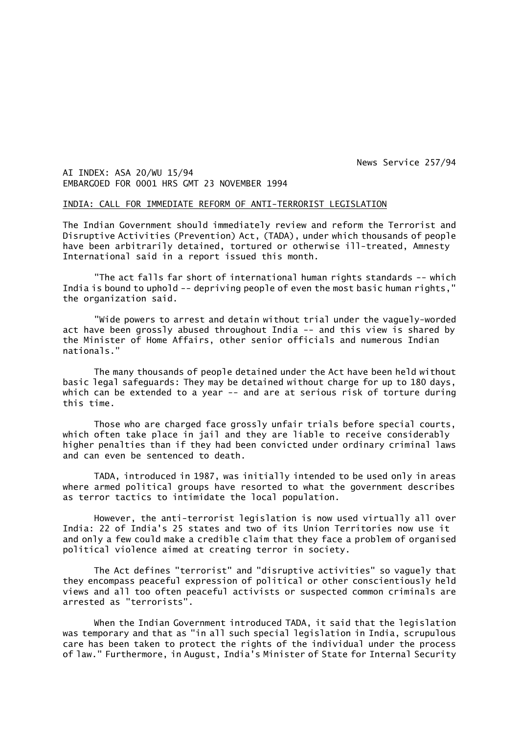News Service 257/94

AI INDEX: ASA 20/WU 15/94 EMBARGOED FOR 0001 HRS GMT 23 NOVEMBER 1994

#### INDIA: CALL FOR IMMEDIATE REFORM OF ANTI-TERRORIST LEGISLATION

The Indian Government should immediately review and reform the Terrorist and Disruptive Activities (Prevention) Act, (TADA), under which thousands of people have been arbitrarily detained, tortured or otherwise ill-treated, Amnesty International said in a report issued this month.

"The act falls far short of international human rights standards -- which India is bound to uphold -- depriving people of even the most basic human rights," the organization said.

"Wide powers to arrest and detain without trial under the vaguely-worded act have been grossly abused throughout India -- and this view is shared by the Minister of Home Affairs, other senior officials and numerous Indian nationals."

The many thousands of people detained under the Act have been held without basic legal safeguards: They may be detained without charge for up to 180 days, which can be extended to a year -- and are at serious risk of torture during this time.

Those who are charged face grossly unfair trials before special courts, which often take place in jail and they are liable to receive considerably higher penalties than if they had been convicted under ordinary criminal laws and can even be sentenced to death.

TADA, introduced in 1987, was initially intended to be used only in areas where armed political groups have resorted to what the government describes as terror tactics to intimidate the local population.

However, the anti-terrorist legislation is now used virtually all over India: 22 of India's 25 states and two of its Union Territories now use it and only a few could make a credible claim that they face a problem of organised political violence aimed at creating terror in society.

The Act defines "terrorist" and "disruptive activities" so vaguely that they encompass peaceful expression of political or other conscientiously held views and all too often peaceful activists or suspected common criminals are arrested as "terrorists".

When the Indian Government introduced TADA, it said that the legislation was temporary and that as "in all such special legislation in India, scrupulous care has been taken to protect the rights of the individual under the process of law." Furthermore, in August, India's Minister of State for Internal Security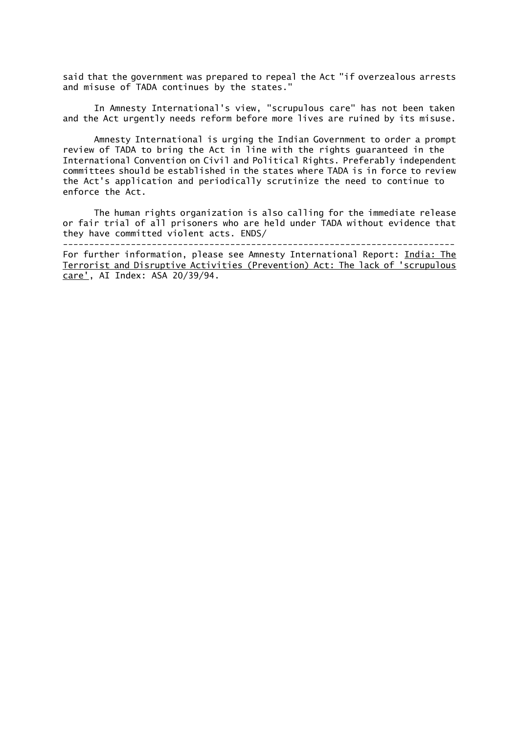said that the government was prepared to repeal the Act "if overzealous arrests and misuse of TADA continues by the states."

In Amnesty International's view, "scrupulous care" has not been taken and the Act urgently needs reform before more lives are ruined by its misuse.

Amnesty International is urging the Indian Government to order a prompt review of TADA to bring the Act in line with the rights guaranteed in the International Convention on Civil and Political Rights. Preferably independent committees should be established in the states where TADA is in force to review the Act's application and periodically scrutinize the need to continue to enforce the Act.

The human rights organization is also calling for the immediate release or fair trial of all prisoners who are held under TADA without evidence that they have committed violent acts. ENDS/ ---------------------------------------------------------------------------

For further information, please see Amnesty International Report: India: The Terrorist and Disruptive Activities (Prevention) Act: The lack of 'scrupulous care', AI Index: ASA 20/39/94.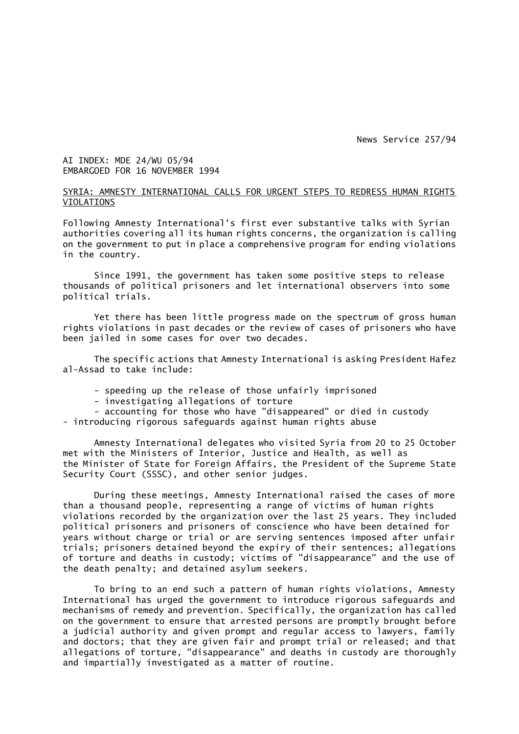News Service 257/94

# AI INDEX: MDE 24/WU 05/94 EMBARGOED FOR 16 NOVEMBER 1994

# SYRIA: AMNESTY INTERNATIONAL CALLS FOR URGENT STEPS TO REDRESS HUMAN RIGHTS VIOLATIONS

Following Amnesty International's first ever substantive talks with Syrian authorities covering all its human rights concerns, the organization is calling on the government to put in place a comprehensive program for ending violations in the country.

Since 1991, the government has taken some positive steps to release thousands of political prisoners and let international observers into some political trials.

Yet there has been little progress made on the spectrum of gross human rights violations in past decades or the review of cases of prisoners who have been jailed in some cases for over two decades.

The specific actions that Amnesty International is asking President Hafez al-Assad to take include:

- speeding up the release of those unfairly imprisoned
- investigating allegations of torture
- accounting for those who have "disappeared" or died in custody - introducing rigorous safeguards against human rights abuse

Amnesty International delegates who visited Syria from 20 to 25 October met with the Ministers of Interior, Justice and Health, as well as the Minister of State for Foreign Affairs, the President of the Supreme State Security Court (SSSC), and other senior judges.

During these meetings, Amnesty International raised the cases of more than a thousand people, representing a range of victims of human rights violations recorded by the organization over the last 25 years. They included political prisoners and prisoners of conscience who have been detained for years without charge or trial or are serving sentences imposed after unfair trials; prisoners detained beyond the expiry of their sentences; allegations of torture and deaths in custody; victims of "disappearance" and the use of the death penalty; and detained asylum seekers.

To bring to an end such a pattern of human rights violations, Amnesty International has urged the government to introduce rigorous safeguards and mechanisms of remedy and prevention. Specifically, the organization has called on the government to ensure that arrested persons are promptly brought before a judicial authority and given prompt and regular access to lawyers, family and doctors; that they are given fair and prompt trial or released; and that allegations of torture, "disappearance" and deaths in custody are thoroughly and impartially investigated as a matter of routine.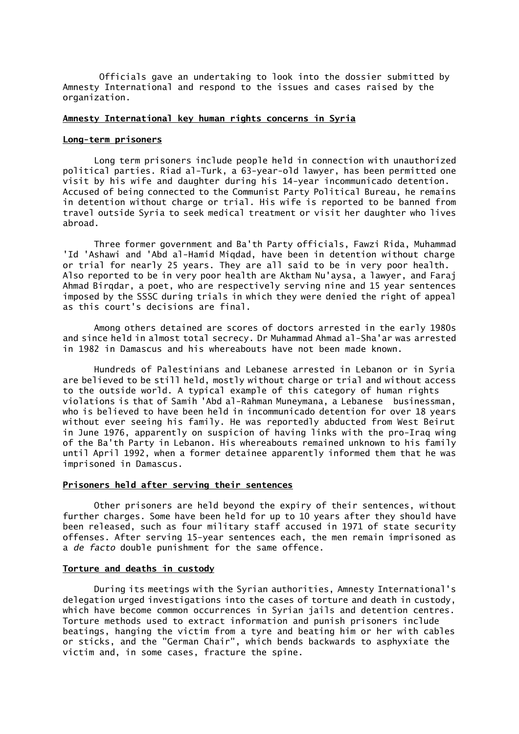Officials gave an undertaking to look into the dossier submitted by Amnesty International and respond to the issues and cases raised by the organization.

## **Amnesty International key human rights concerns in Syria**

## **Long-term prisoners**

Long term prisoners include people held in connection with unauthorized political parties. Riad al-Turk, a 63-year-old lawyer, has been permitted one visit by his wife and daughter during his 14-year incommunicado detention. Accused of being connected to the Communist Party Political Bureau, he remains in detention without charge or trial. His wife is reported to be banned from travel outside Syria to seek medical treatment or visit her daughter who lives abroad.

Three former government and Ba'th Party officials, Fawzi Rida, Muhammad 'Id 'Ashawi and 'Abd al-Hamid Miqdad, have been in detention without charge or trial for nearly 25 years. They are all said to be in very poor health. Also reported to be in very poor health are Aktham Nu'aysa, a lawyer, and Faraj Ahmad Birqdar, a poet, who are respectively serving nine and 15 year sentences imposed by the SSSC during trials in which they were denied the right of appeal as this court's decisions are final.

Among others detained are scores of doctors arrested in the early 1980s and since held in almost total secrecy. Dr Muhammad Ahmad al-Sha'ar was arrested in 1982 in Damascus and his whereabouts have not been made known.

Hundreds of Palestinians and Lebanese arrested in Lebanon or in Syria are believed to be still held, mostly without charge or trial and without access to the outside world. A typical example of this category of human rights violations is that of Samih 'Abd al-Rahman Muneymana, a Lebanese businessman, who is believed to have been held in incommunicado detention for over 18 years without ever seeing his family. He was reportedly abducted from West Beirut in June 1976, apparently on suspicion of having links with the pro-Iraq wing of the Ba'th Party in Lebanon. His whereabouts remained unknown to his family until April 1992, when a former detainee apparently informed them that he was imprisoned in Damascus.

## **Prisoners held after serving their sentences**

Other prisoners are held beyond the expiry of their sentences, without further charges. Some have been held for up to 10 years after they should have been released, such as four military staff accused in 1971 of state security offenses. After serving 15-year sentences each, the men remain imprisoned as a *de facto* double punishment for the same offence.

## **Torture and deaths in custody**

During its meetings with the Syrian authorities, Amnesty International's delegation urged investigations into the cases of torture and death in custody, which have become common occurrences in Syrian jails and detention centres. Torture methods used to extract information and punish prisoners include beatings, hanging the victim from a tyre and beating him or her with cables or sticks, and the "German Chair", which bends backwards to asphyxiate the victim and, in some cases, fracture the spine.